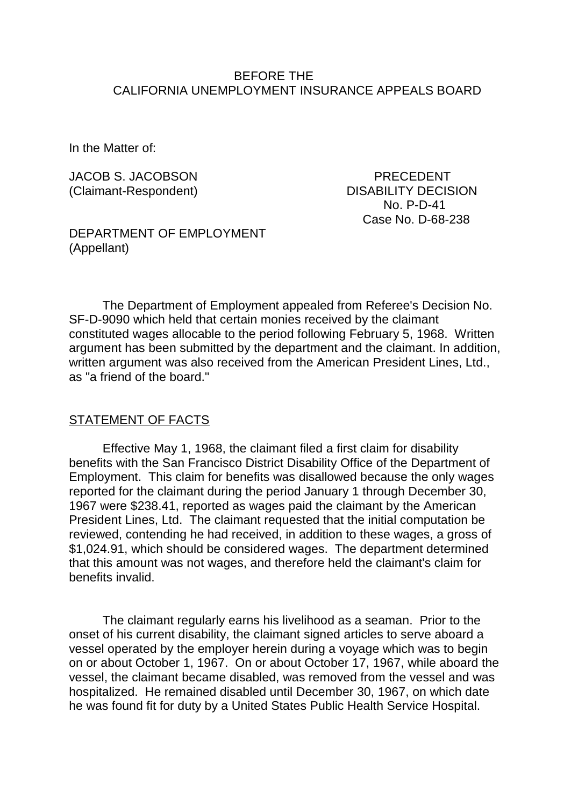### BEFORE THE CALIFORNIA UNEMPLOYMENT INSURANCE APPEALS BOARD

In the Matter of:

JACOB S. JACOBSON PRECEDENT (Claimant-Respondent) DISABILITY DECISION No. P-D-41 Case No. D-68-238

DEPARTMENT OF EMPLOYMENT (Appellant)

The Department of Employment appealed from Referee's Decision No. SF-D-9090 which held that certain monies received by the claimant constituted wages allocable to the period following February 5, 1968. Written argument has been submitted by the department and the claimant. In addition, written argument was also received from the American President Lines, Ltd., as "a friend of the board."

#### STATEMENT OF FACTS

Effective May 1, 1968, the claimant filed a first claim for disability benefits with the San Francisco District Disability Office of the Department of Employment. This claim for benefits was disallowed because the only wages reported for the claimant during the period January 1 through December 30, 1967 were \$238.41, reported as wages paid the claimant by the American President Lines, Ltd. The claimant requested that the initial computation be reviewed, contending he had received, in addition to these wages, a gross of \$1,024.91, which should be considered wages. The department determined that this amount was not wages, and therefore held the claimant's claim for benefits invalid.

The claimant regularly earns his livelihood as a seaman. Prior to the onset of his current disability, the claimant signed articles to serve aboard a vessel operated by the employer herein during a voyage which was to begin on or about October 1, 1967. On or about October 17, 1967, while aboard the vessel, the claimant became disabled, was removed from the vessel and was hospitalized. He remained disabled until December 30, 1967, on which date he was found fit for duty by a United States Public Health Service Hospital.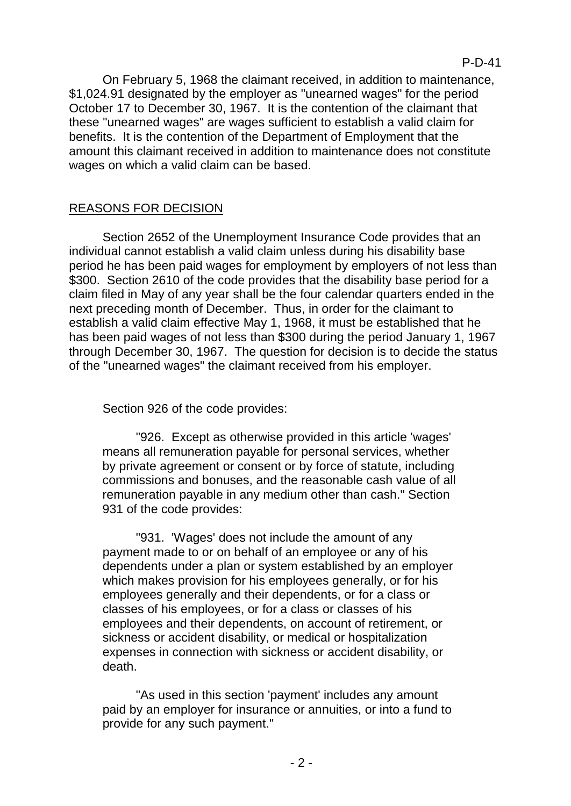On February 5, 1968 the claimant received, in addition to maintenance, \$1,024.91 designated by the employer as "unearned wages" for the period October 17 to December 30, 1967. It is the contention of the claimant that these "unearned wages" are wages sufficient to establish a valid claim for benefits. It is the contention of the Department of Employment that the amount this claimant received in addition to maintenance does not constitute wages on which a valid claim can be based.

# REASONS FOR DECISION

Section 2652 of the Unemployment Insurance Code provides that an individual cannot establish a valid claim unless during his disability base period he has been paid wages for employment by employers of not less than \$300. Section 2610 of the code provides that the disability base period for a claim filed in May of any year shall be the four calendar quarters ended in the next preceding month of December. Thus, in order for the claimant to establish a valid claim effective May 1, 1968, it must be established that he has been paid wages of not less than \$300 during the period January 1, 1967 through December 30, 1967. The question for decision is to decide the status of the "unearned wages" the claimant received from his employer.

Section 926 of the code provides:

"926. Except as otherwise provided in this article 'wages' means all remuneration payable for personal services, whether by private agreement or consent or by force of statute, including commissions and bonuses, and the reasonable cash value of all remuneration payable in any medium other than cash." Section 931 of the code provides:

"931. 'Wages' does not include the amount of any payment made to or on behalf of an employee or any of his dependents under a plan or system established by an employer which makes provision for his employees generally, or for his employees generally and their dependents, or for a class or classes of his employees, or for a class or classes of his employees and their dependents, on account of retirement, or sickness or accident disability, or medical or hospitalization expenses in connection with sickness or accident disability, or death.

"As used in this section 'payment' includes any amount paid by an employer for insurance or annuities, or into a fund to provide for any such payment."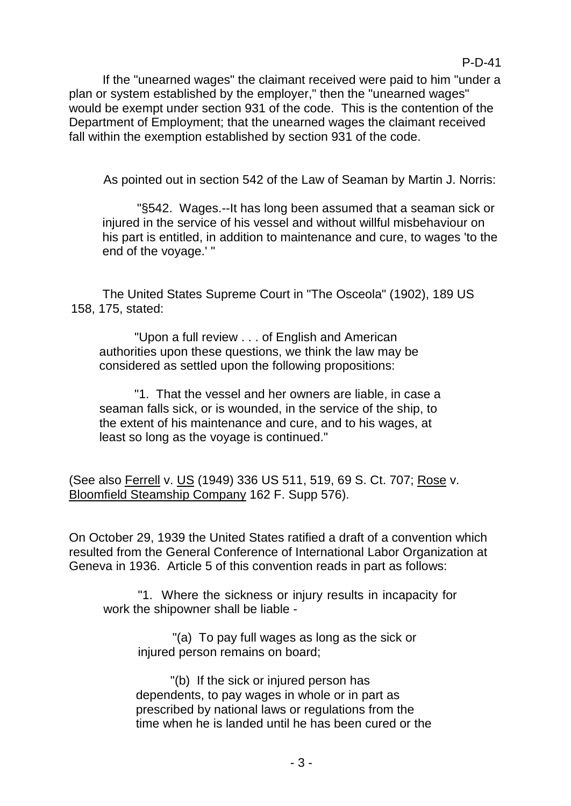If the "unearned wages" the claimant received were paid to him "under a plan or system established by the employer," then the "unearned wages" would be exempt under section 931 of the code. This is the contention of the Department of Employment; that the unearned wages the claimant received fall within the exemption established by section 931 of the code.

As pointed out in section 542 of the Law of Seaman by Martin J. Norris:

"§542. Wages.--It has long been assumed that a seaman sick or injured in the service of his vessel and without willful misbehaviour on his part is entitled, in addition to maintenance and cure, to wages 'to the end of the voyage.' "

The United States Supreme Court in "The Osceola" (1902), 189 US 158, 175, stated:

"Upon a full review . . . of English and American authorities upon these questions, we think the law may be considered as settled upon the following propositions:

"1. That the vessel and her owners are liable, in case a seaman falls sick, or is wounded, in the service of the ship, to the extent of his maintenance and cure, and to his wages, at least so long as the voyage is continued."

(See also Ferrell v. US (1949) 336 US 511, 519, 69 S. Ct. 707; Rose v. Bloomfield Steamship Company 162 F. Supp 576).

On October 29, 1939 the United States ratified a draft of a convention which resulted from the General Conference of International Labor Organization at Geneva in 1936. Article 5 of this convention reads in part as follows:

"1. Where the sickness or injury results in incapacity for work the shipowner shall be liable -

"(a) To pay full wages as long as the sick or injured person remains on board;

"(b) If the sick or injured person has dependents, to pay wages in whole or in part as prescribed by national laws or regulations from the time when he is landed until he has been cured or the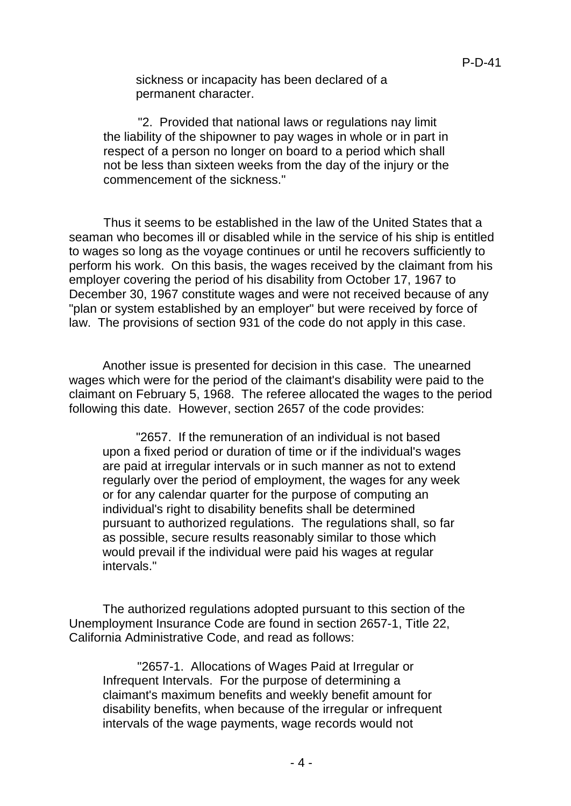sickness or incapacity has been declared of a permanent character.

"2. Provided that national laws or regulations nay limit the liability of the shipowner to pay wages in whole or in part in respect of a person no longer on board to a period which shall not be less than sixteen weeks from the day of the injury or the commencement of the sickness."

Thus it seems to be established in the law of the United States that a seaman who becomes ill or disabled while in the service of his ship is entitled to wages so long as the voyage continues or until he recovers sufficiently to perform his work. On this basis, the wages received by the claimant from his employer covering the period of his disability from October 17, 1967 to December 30, 1967 constitute wages and were not received because of any "plan or system established by an employer" but were received by force of law. The provisions of section 931 of the code do not apply in this case.

Another issue is presented for decision in this case. The unearned wages which were for the period of the claimant's disability were paid to the claimant on February 5, 1968. The referee allocated the wages to the period following this date. However, section 2657 of the code provides:

"2657. If the remuneration of an individual is not based upon a fixed period or duration of time or if the individual's wages are paid at irregular intervals or in such manner as not to extend regularly over the period of employment, the wages for any week or for any calendar quarter for the purpose of computing an individual's right to disability benefits shall be determined pursuant to authorized regulations. The regulations shall, so far as possible, secure results reasonably similar to those which would prevail if the individual were paid his wages at regular intervals."

The authorized regulations adopted pursuant to this section of the Unemployment Insurance Code are found in section 2657-1, Title 22, California Administrative Code, and read as follows:

"2657-1. Allocations of Wages Paid at Irregular or Infrequent Intervals. For the purpose of determining a claimant's maximum benefits and weekly benefit amount for disability benefits, when because of the irregular or infrequent intervals of the wage payments, wage records would not